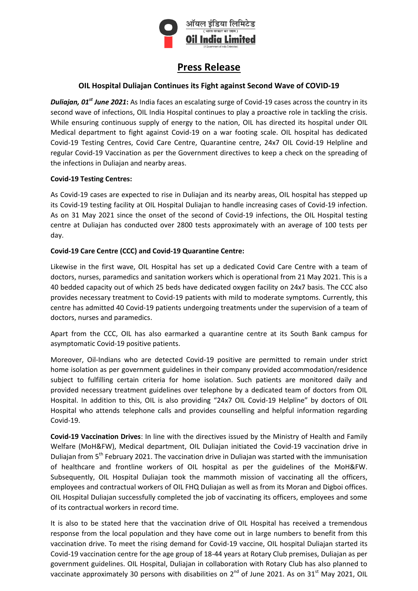

# **Press Release**

## **OIL Hospital Duliajan Continues its Fight against Second Wave of COVID-19**

*Duliajan, 01st June 2021***:** As India faces an escalating surge of Covid-19 cases across the country in its second wave of infections, OIL India Hospital continues to play a proactive role in tackling the crisis. While ensuring continuous supply of energy to the nation, OIL has directed its hospital under OIL Medical department to fight against Covid-19 on a war footing scale. OIL hospital has dedicated Covid-19 Testing Centres, Covid Care Centre, Quarantine centre, 24x7 OIL Covid-19 Helpline and regular Covid-19 Vaccination as per the Government directives to keep a check on the spreading of the infections in Duliajan and nearby areas.

#### **Covid-19 Testing Centres:**

As Covid-19 cases are expected to rise in Duliajan and its nearby areas, OIL hospital has stepped up its Covid-19 testing facility at OIL Hospital Duliajan to handle increasing cases of Covid-19 infection. As on 31 May 2021 since the onset of the second of Covid-19 infections, the OIL Hospital testing centre at Duliajan has conducted over 2800 tests approximately with an average of 100 tests per day.

#### **Covid-19 Care Centre (CCC) and Covid-19 Quarantine Centre:**

Likewise in the first wave, OIL Hospital has set up a dedicated Covid Care Centre with a team of doctors, nurses, paramedics and sanitation workers which is operational from 21 May 2021. This is a 40 bedded capacity out of which 25 beds have dedicated oxygen facility on 24x7 basis. The CCC also provides necessary treatment to Covid-19 patients with mild to moderate symptoms. Currently, this centre has admitted 40 Covid-19 patients undergoing treatments under the supervision of a team of doctors, nurses and paramedics.

Apart from the CCC, OIL has also earmarked a quarantine centre at its South Bank campus for asymptomatic Covid-19 positive patients.

Moreover, Oil-Indians who are detected Covid-19 positive are permitted to remain under strict home isolation as per government guidelines in their company provided accommodation/residence subject to fulfilling certain criteria for home isolation. Such patients are monitored daily and provided necessary treatment guidelines over telephone by a dedicated team of doctors from OIL Hospital. In addition to this, OIL is also providing "24x7 OIL Covid-19 Helpline" by doctors of OIL Hospital who attends telephone calls and provides counselling and helpful information regarding Covid-19.

**Covid-19 Vaccination Drives**: In line with the directives issued by the Ministry of Health and Family Welfare (MoH&FW), Medical department, OIL Duliajan initiated the Covid-19 vaccination drive in Duliaian from 5<sup>th</sup> February 2021. The vaccination drive in Duliajan was started with the immunisation of healthcare and frontline workers of OIL hospital as per the guidelines of the MoH&FW. Subsequently, OIL Hospital Duliajan took the mammoth mission of vaccinating all the officers, employees and contractual workers of OIL FHQ Duliajan as well as from its Moran and Digboi offices. OIL Hospital Duliajan successfully completed the job of vaccinating its officers, employees and some of its contractual workers in record time.

It is also to be stated here that the vaccination drive of OIL Hospital has received a tremendous response from the local population and they have come out in large numbers to benefit from this vaccination drive. To meet the rising demand for Covid-19 vaccine, OIL hospital Duliajan started its Covid-19 vaccination centre for the age group of 18-44 years at Rotary Club premises, Duliajan as per government guidelines. OIL Hospital, Duliajan in collaboration with Rotary Club has also planned to vaccinate approximately 30 persons with disabilities on  $2^{nd}$  of June 2021. As on 31<sup>st</sup> May 2021, OIL